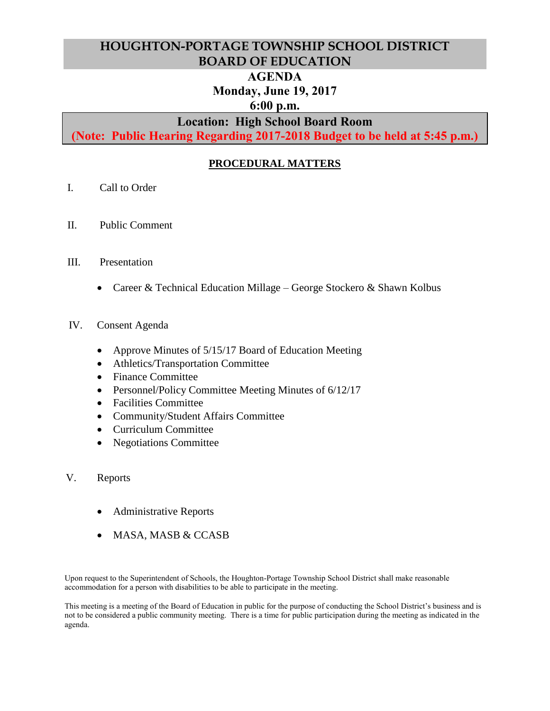# **HOUGHTON-PORTAGE TOWNSHIP SCHOOL DISTRICT BOARD OF EDUCATION**

## **AGENDA**

# **Monday, June 19, 2017**

## **6:00 p.m.**

# **Location: High School Board Room**

**(Note: Public Hearing Regarding 2017-2018 Budget to be held at 5:45 p.m.)**

# **PROCEDURAL MATTERS**

- I. Call to Order
- II. Public Comment
- III. Presentation
	- Career & Technical Education Millage George Stockero & Shawn Kolbus
- IV. Consent Agenda
	- Approve Minutes of 5/15/17 Board of Education Meeting
	- Athletics/Transportation Committee
	- Finance Committee
	- Personnel/Policy Committee Meeting Minutes of 6/12/17
	- Facilities Committee
	- Community/Student Affairs Committee
	- Curriculum Committee
	- Negotiations Committee
- V. Reports
	- Administrative Reports
	- MASA, MASB & CCASB

Upon request to the Superintendent of Schools, the Houghton-Portage Township School District shall make reasonable accommodation for a person with disabilities to be able to participate in the meeting.

This meeting is a meeting of the Board of Education in public for the purpose of conducting the School District's business and is not to be considered a public community meeting. There is a time for public participation during the meeting as indicated in the agenda.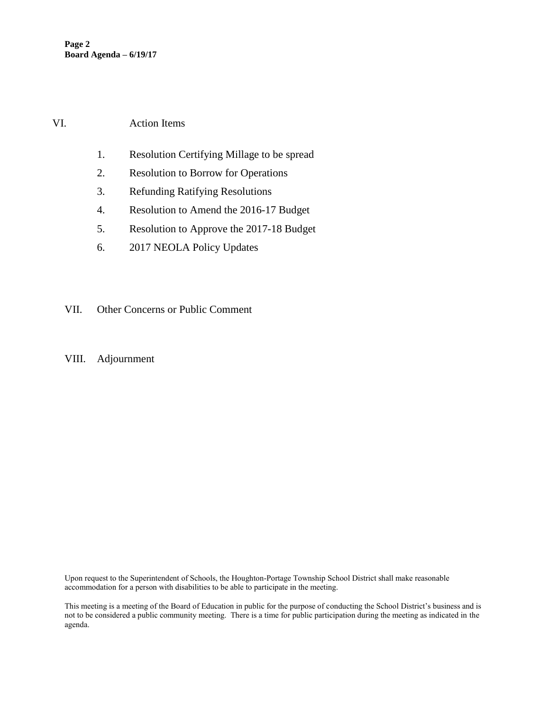### VI. Action Items

- 1. Resolution Certifying Millage to be spread
- 2. Resolution to Borrow for Operations
- 3. Refunding Ratifying Resolutions
- 4. Resolution to Amend the 2016-17 Budget
- 5. Resolution to Approve the 2017-18 Budget
- 6. 2017 NEOLA Policy Updates
- VII. Other Concerns or Public Comment
- VIII. Adjournment

Upon request to the Superintendent of Schools, the Houghton-Portage Township School District shall make reasonable accommodation for a person with disabilities to be able to participate in the meeting.

This meeting is a meeting of the Board of Education in public for the purpose of conducting the School District's business and is not to be considered a public community meeting. There is a time for public participation during the meeting as indicated in the agenda.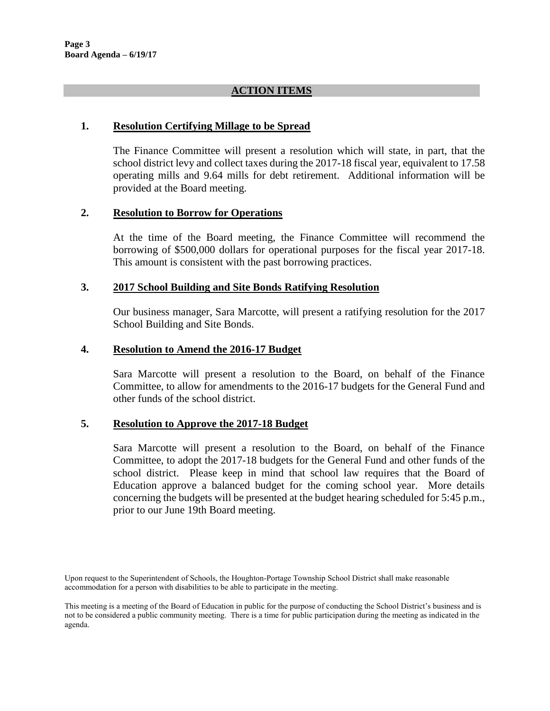## **ACTION ITEMS**

### **1. Resolution Certifying Millage to be Spread**

The Finance Committee will present a resolution which will state, in part, that the school district levy and collect taxes during the 2017-18 fiscal year, equivalent to 17.58 operating mills and 9.64 mills for debt retirement. Additional information will be provided at the Board meeting.

### **2. Resolution to Borrow for Operations**

At the time of the Board meeting, the Finance Committee will recommend the borrowing of \$500,000 dollars for operational purposes for the fiscal year 2017-18. This amount is consistent with the past borrowing practices.

### **3. 2017 School Building and Site Bonds Ratifying Resolution**

Our business manager, Sara Marcotte, will present a ratifying resolution for the 2017 School Building and Site Bonds.

### **4. Resolution to Amend the 2016-17 Budget**

Sara Marcotte will present a resolution to the Board, on behalf of the Finance Committee, to allow for amendments to the 2016-17 budgets for the General Fund and other funds of the school district.

#### **5. Resolution to Approve the 2017-18 Budget**

Sara Marcotte will present a resolution to the Board, on behalf of the Finance Committee, to adopt the 2017-18 budgets for the General Fund and other funds of the school district. Please keep in mind that school law requires that the Board of Education approve a balanced budget for the coming school year. More details concerning the budgets will be presented at the budget hearing scheduled for 5:45 p.m., prior to our June 19th Board meeting.

Upon request to the Superintendent of Schools, the Houghton-Portage Township School District shall make reasonable accommodation for a person with disabilities to be able to participate in the meeting.

This meeting is a meeting of the Board of Education in public for the purpose of conducting the School District's business and is not to be considered a public community meeting. There is a time for public participation during the meeting as indicated in the agenda.